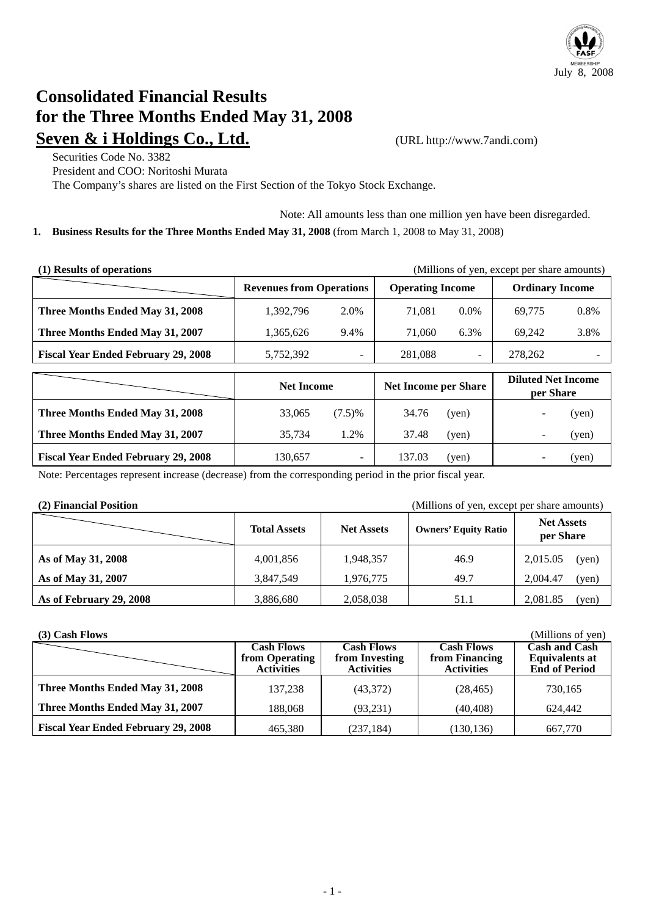

## **Consolidated Financial Results for the Three Months Ended May 31, 2008 Seven & i Holdings Co., Ltd.** (URL http://www.7andi.com)

Securities Code No. 3382 President and COO: Noritoshi Murata

The Company's shares are listed on the First Section of the Tokyo Stock Exchange.

Note: All amounts less than one million yen have been disregarded.

### **1. Business Results for the Three Months Ended May 31, 2008** (from March 1, 2008 to May 31, 2008)

| (1) Results of operations<br>(Millions of yen, except per share amounts) |                   |                                 |                             |                          |                                        |                        |  |
|--------------------------------------------------------------------------|-------------------|---------------------------------|-----------------------------|--------------------------|----------------------------------------|------------------------|--|
|                                                                          |                   | <b>Revenues from Operations</b> |                             | <b>Operating Income</b>  |                                        | <b>Ordinary Income</b> |  |
| Three Months Ended May 31, 2008                                          | 1,392,796         | 2.0%                            | 71.081                      | $0.0\%$                  | 69.775                                 | 0.8%                   |  |
| Three Months Ended May 31, 2007                                          | 1,365,626         | 9.4%                            | 71,060                      | 6.3%                     | 69,242                                 | 3.8%                   |  |
| <b>Fiscal Year Ended February 29, 2008</b>                               | 5,752,392         | $\overline{\phantom{0}}$        | 281,088                     | $\overline{\phantom{0}}$ | 278,262                                |                        |  |
|                                                                          | <b>Net Income</b> |                                 | <b>Net Income per Share</b> |                          | <b>Diluted Net Income</b><br>per Share |                        |  |
| Three Months Ended May 31, 2008                                          | 33,065            | $(7.5)\%$                       | 34.76                       | (yen)                    |                                        | (yen)                  |  |
| Three Months Ended May 31, 2007                                          | 35.734            | 1.2%                            | 37.48                       | (yen)                    |                                        | (yen)                  |  |

**Fiscal Year Ended February 29, 2008** 130,657 - 137.03 (yen) - (yen)

Note: Percentages represent increase (decrease) from the corresponding period in the prior fiscal year.

**(2) Financial Position** (Millions of yen, except per share amounts)

|                         | <b>Total Assets</b> | <b>Net Assets</b> | <b>Owners' Equity Ratio</b> | <b>Net Assets</b><br>per Share |
|-------------------------|---------------------|-------------------|-----------------------------|--------------------------------|
| As of May 31, 2008      | 4,001,856           | 1,948,357         | 46.9                        | 2,015.05<br>(yen)              |
| As of May 31, 2007      | 3,847,549           | 1,976,775         | 49.7                        | 2,004.47<br>(yen)              |
| As of February 29, 2008 | 3,886,680           | 2,058,038         | 51.1                        | 2,081.85<br>(yen)              |

| $(3)$ Cash Flows                           |                                                          |                                                          |                                                          | (Millions of yen)                                                     |
|--------------------------------------------|----------------------------------------------------------|----------------------------------------------------------|----------------------------------------------------------|-----------------------------------------------------------------------|
|                                            | <b>Cash Flows</b><br>from Operating<br><b>Activities</b> | <b>Cash Flows</b><br>from Investing<br><b>Activities</b> | <b>Cash Flows</b><br>from Financing<br><b>Activities</b> | <b>Cash and Cash</b><br><b>Equivalents at</b><br><b>End of Period</b> |
| Three Months Ended May 31, 2008            | 137.238                                                  | (43,372)                                                 | (28, 465)                                                | 730.165                                                               |
| Three Months Ended May 31, 2007            | 188,068                                                  | (93, 231)                                                | (40.408)                                                 | 624.442                                                               |
| <b>Fiscal Year Ended February 29, 2008</b> | 465,380                                                  | (237, 184)                                               | (130, 136)                                               | 667,770                                                               |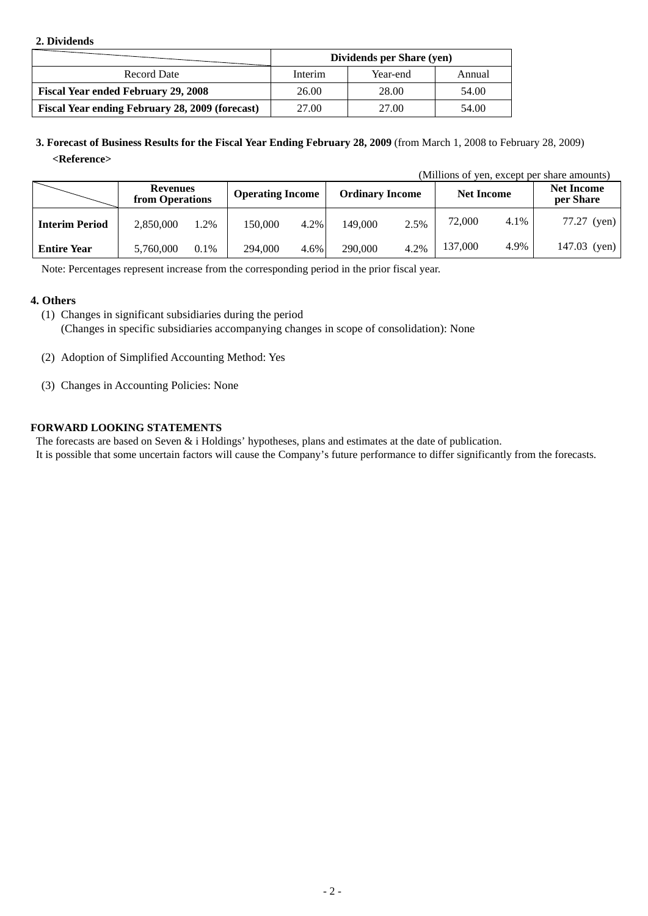#### **2. Dividends**

|                                                        | Dividends per Share (yen) |          |        |  |
|--------------------------------------------------------|---------------------------|----------|--------|--|
| Record Date                                            | Interim                   | Year-end | Annual |  |
| <b>Fiscal Year ended February 29, 2008</b>             | 26.00                     | 28.00    | 54.00  |  |
| <b>Fiscal Year ending February 28, 2009 (forecast)</b> | 27.00                     | 27.00    | 54.00  |  |

**3. Forecast of Business Results for the Fiscal Year Ending February 28, 2009** (from March 1, 2008 to February 28, 2009)  **<Reference>** 

(Millions of yen, except per share amounts)

|                       | <b>Revenues</b><br>from Operations |         | <b>Operating Income</b> |      | <b>Ordinary Income</b> |      |         |      | <b>Net Income</b> |  | <b>Net Income</b><br>per Share |
|-----------------------|------------------------------------|---------|-------------------------|------|------------------------|------|---------|------|-------------------|--|--------------------------------|
| <b>Interim Period</b> | 2.850,000                          | 1.2%    | 150.000                 | 4.2% | 149,000                | 2.5% | 72,000  | 4.1% | $77.27$ (yen)     |  |                                |
| <b>Entire Year</b>    | 5,760,000                          | $0.1\%$ | 294,000                 | 4.6% | 290,000                | 4.2% | 137,000 | 4.9% | 147.03 (yen) $ $  |  |                                |

Note: Percentages represent increase from the corresponding period in the prior fiscal year.

#### **4. Others**

- (1) Changes in significant subsidiaries during the period (Changes in specific subsidiaries accompanying changes in scope of consolidation): None
- (2) Adoption of Simplified Accounting Method: Yes
- (3) Changes in Accounting Policies: None

#### **FORWARD LOOKING STATEMENTS**

The forecasts are based on Seven & i Holdings' hypotheses, plans and estimates at the date of publication.

It is possible that some uncertain factors will cause the Company's future performance to differ significantly from the forecasts.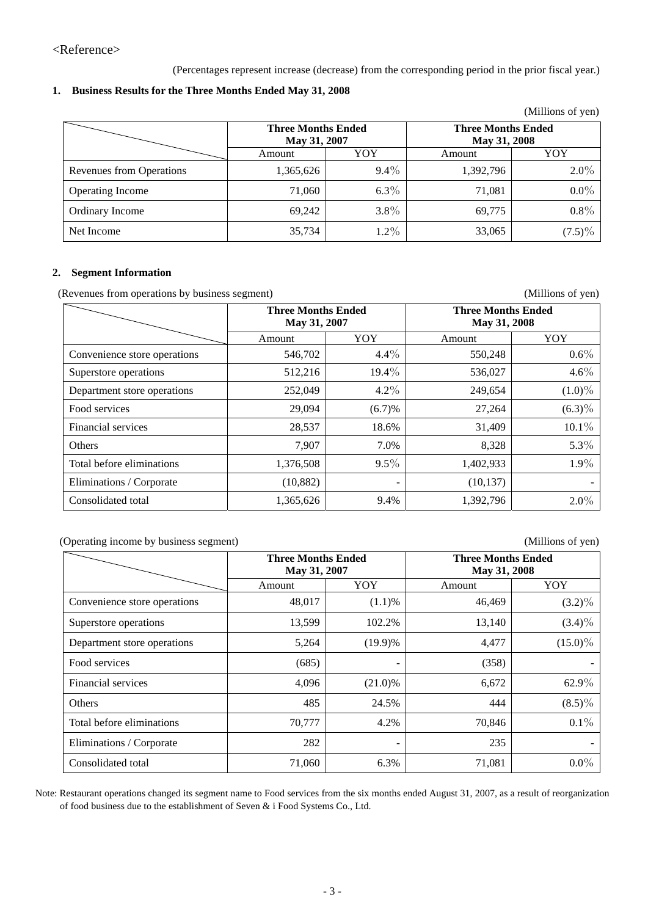<Reference>

(Percentages represent increase (decrease) from the corresponding period in the prior fiscal year.)

#### **1. Business Results for the Three Months Ended May 31, 2008**

|                          |                                           |         |                                           | (Millions of yen) |
|--------------------------|-------------------------------------------|---------|-------------------------------------------|-------------------|
|                          | <b>Three Months Ended</b><br>May 31, 2007 |         | <b>Three Months Ended</b><br>May 31, 2008 |                   |
|                          | Amount                                    | YOY     | Amount                                    | YOY               |
| Revenues from Operations | 1,365,626                                 | $9.4\%$ | 1,392,796                                 | $2.0\%$           |
| Operating Income         | 71,060                                    | $6.3\%$ | 71,081                                    | $0.0\%$           |
| Ordinary Income          | 69,242                                    | $3.8\%$ | 69,775                                    | $0.8\%$           |
| Net Income               | 35,734                                    | $1.2\%$ | 33,065                                    | $(7.5)\%$         |

#### **2. Segment Information**

(Revenues from operations by business segment) (Millions of yen)

|                              | <b>Three Months Ended</b><br>May 31, 2007 |                          | <b>Three Months Ended</b><br>May 31, 2008 |           |  |
|------------------------------|-------------------------------------------|--------------------------|-------------------------------------------|-----------|--|
|                              | Amount                                    | YOY                      | Amount                                    | YOY       |  |
| Convenience store operations | 546,702                                   | $4.4\%$                  | 550,248                                   | $0.6\%$   |  |
| Superstore operations        | 512,216                                   | 19.4%                    | 536,027                                   | $4.6\%$   |  |
| Department store operations  | 252,049                                   | $4.2\%$                  | 249,654                                   | $(1.0)\%$ |  |
| Food services                | 29,094                                    | (6.7)%                   | 27,264                                    | $(6.3)\%$ |  |
| Financial services           | 28,537                                    | 18.6%                    | 31,409                                    | $10.1\%$  |  |
| <b>Others</b>                | 7,907                                     | 7.0%                     | 8,328                                     | 5.3%      |  |
| Total before eliminations    | 1,376,508                                 | $9.5\%$                  | 1,402,933                                 | $1.9\%$   |  |
| Eliminations / Corporate     | (10, 882)                                 | $\overline{\phantom{a}}$ | (10, 137)                                 |           |  |
| Consolidated total           | 1,365,626                                 | 9.4%                     | 1,392,796                                 | $2.0\%$   |  |

#### (Operating income by business segment) (Millions of yen)

|                              | <b>Three Months Ended</b><br>May 31, 2007 |            | <b>Three Months Ended</b><br>May 31, 2008 |            |
|------------------------------|-------------------------------------------|------------|-------------------------------------------|------------|
|                              | Amount                                    | YOY        | Amount                                    | YOY        |
| Convenience store operations | 48,017                                    | (1.1)%     | 46,469                                    | $(3.2)\%$  |
| Superstore operations        | 13,599                                    | 102.2%     | 13,140                                    | $(3.4)\%$  |
| Department store operations  | 5,264                                     | $(19.9)\%$ | 4,477                                     | $(15.0)\%$ |
| Food services                | (685)                                     |            | (358)                                     |            |
| Financial services           | 4,096                                     | $(21.0)\%$ | 6,672                                     | 62.9%      |
| <b>Others</b>                | 485                                       | 24.5%      | 444                                       | $(8.5)\%$  |
| Total before eliminations    | 70,777                                    | 4.2%       | 70,846                                    | $0.1\%$    |
| Eliminations / Corporate     | 282                                       | -          | 235                                       | -          |
| Consolidated total           | 71,060                                    | 6.3%       | 71,081                                    | $0.0\%$    |

Note: Restaurant operations changed its segment name to Food services from the six months ended August 31, 2007, as a result of reorganization of food business due to the establishment of Seven & i Food Systems Co., Ltd.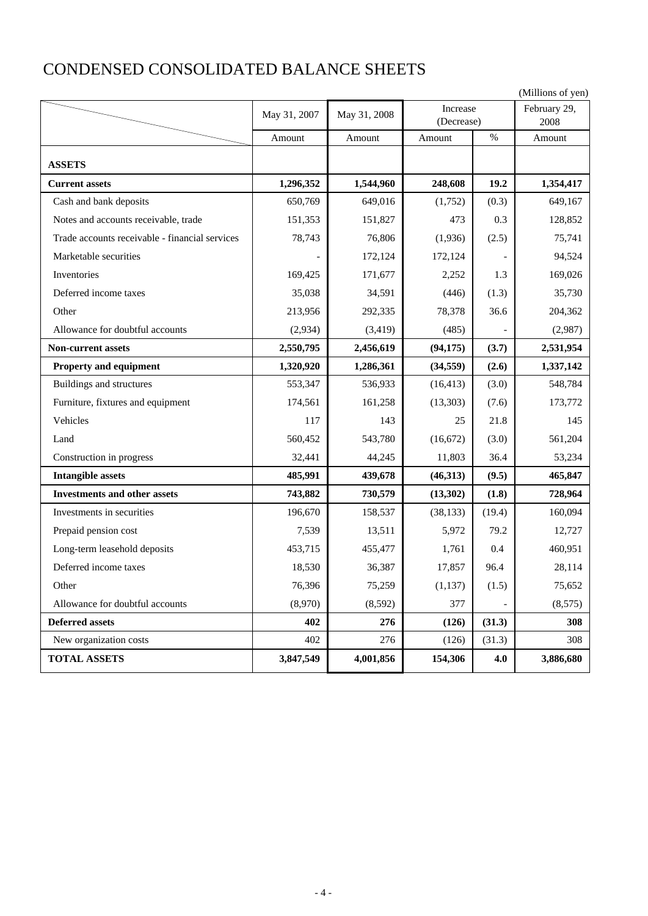# CONDENSED CONSOLIDATED BALANCE SHEETS

| (Millions of yen)                              |              |              |                        |        |                      |  |  |
|------------------------------------------------|--------------|--------------|------------------------|--------|----------------------|--|--|
|                                                | May 31, 2007 | May 31, 2008 | Increase<br>(Decrease) |        | February 29,<br>2008 |  |  |
|                                                | Amount       | Amount       | Amount                 | $\%$   | Amount               |  |  |
| <b>ASSETS</b>                                  |              |              |                        |        |                      |  |  |
| <b>Current assets</b>                          | 1,296,352    | 1,544,960    | 248,608                | 19.2   | 1,354,417            |  |  |
| Cash and bank deposits                         | 650,769      | 649,016      | (1,752)                | (0.3)  | 649,167              |  |  |
| Notes and accounts receivable, trade           | 151,353      | 151,827      | 473                    | 0.3    | 128,852              |  |  |
| Trade accounts receivable - financial services | 78,743       | 76,806       | (1,936)                | (2.5)  | 75,741               |  |  |
| Marketable securities                          |              | 172,124      | 172,124                |        | 94,524               |  |  |
| Inventories                                    | 169,425      | 171,677      | 2,252                  | 1.3    | 169,026              |  |  |
| Deferred income taxes                          | 35,038       | 34,591       | (446)                  | (1.3)  | 35,730               |  |  |
| Other                                          | 213,956      | 292,335      | 78,378                 | 36.6   | 204,362              |  |  |
| Allowance for doubtful accounts                | (2,934)      | (3, 419)     | (485)                  |        | (2,987)              |  |  |
| <b>Non-current assets</b>                      | 2,550,795    | 2,456,619    | (94, 175)              | (3.7)  | 2,531,954            |  |  |
| Property and equipment                         | 1,320,920    | 1,286,361    | (34, 559)              | (2.6)  | 1,337,142            |  |  |
| Buildings and structures                       | 553,347      | 536,933      | (16, 413)              | (3.0)  | 548,784              |  |  |
| Furniture, fixtures and equipment              | 174,561      | 161,258      | (13,303)               | (7.6)  | 173,772              |  |  |
| Vehicles                                       | 117          | 143          | 25                     | 21.8   | 145                  |  |  |
| Land                                           | 560,452      | 543,780      | (16, 672)              | (3.0)  | 561,204              |  |  |
| Construction in progress                       | 32,441       | 44,245       | 11,803                 | 36.4   | 53,234               |  |  |
| <b>Intangible assets</b>                       | 485,991      | 439,678      | (46,313)               | (9.5)  | 465,847              |  |  |
| <b>Investments and other assets</b>            | 743,882      | 730,579      | (13, 302)              | (1.8)  | 728,964              |  |  |
| Investments in securities                      | 196,670      | 158,537      | (38, 133)              | (19.4) | 160,094              |  |  |
| Prepaid pension cost                           | 7,539        | 13,511       | 5,972                  | 79.2   | 12,727               |  |  |
| Long-term leasehold deposits                   | 453,715      | 455,477      | 1,761                  | 0.4    | 460,951              |  |  |
| Deferred income taxes                          | 18,530       | 36,387       | 17,857                 | 96.4   | 28,114               |  |  |
| Other                                          | 76,396       | 75,259       | (1, 137)               | (1.5)  | 75,652               |  |  |
| Allowance for doubtful accounts                | (8,970)      | (8,592)      | 377                    |        | (8,575)              |  |  |
| <b>Deferred assets</b>                         | 402          | 276          | (126)                  | (31.3) | 308                  |  |  |
| New organization costs                         | 402          | 276          | (126)                  | (31.3) | 308                  |  |  |
| <b>TOTAL ASSETS</b>                            | 3,847,549    | 4,001,856    | 154,306                | 4.0    | 3,886,680            |  |  |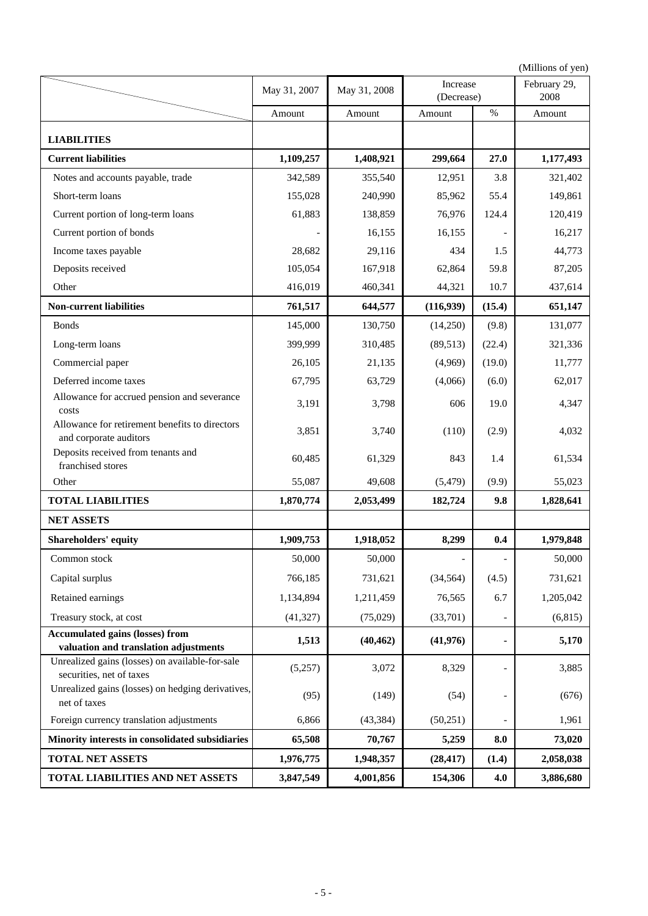(Millions of yen)

|                                                                             | May 31, 2007 | May 31, 2008 | Increase<br>(Decrease) |        | February 29,<br>2008 |
|-----------------------------------------------------------------------------|--------------|--------------|------------------------|--------|----------------------|
|                                                                             | Amount       | Amount       | Amount                 | $\%$   | Amount               |
| <b>LIABILITIES</b>                                                          |              |              |                        |        |                      |
| <b>Current liabilities</b>                                                  | 1,109,257    | 1,408,921    | 299,664                | 27.0   | 1,177,493            |
| Notes and accounts payable, trade                                           | 342,589      | 355,540      | 12,951                 | 3.8    | 321,402              |
| Short-term loans                                                            | 155,028      | 240,990      | 85,962                 | 55.4   | 149,861              |
| Current portion of long-term loans                                          | 61,883       | 138,859      | 76,976                 | 124.4  | 120,419              |
| Current portion of bonds                                                    |              | 16,155       | 16,155                 |        | 16,217               |
| Income taxes payable                                                        | 28,682       | 29,116       | 434                    | 1.5    | 44,773               |
| Deposits received                                                           | 105,054      | 167,918      | 62,864                 | 59.8   | 87,205               |
| Other                                                                       | 416,019      | 460,341      | 44,321                 | 10.7   | 437,614              |
| <b>Non-current liabilities</b>                                              | 761,517      | 644,577      | (116,939)              | (15.4) | 651,147              |
| <b>Bonds</b>                                                                | 145,000      | 130,750      | (14,250)               | (9.8)  | 131,077              |
|                                                                             | 399,999      |              |                        |        | 321,336              |
| Long-term loans                                                             |              | 310,485      | (89, 513)              | (22.4) |                      |
| Commercial paper                                                            | 26,105       | 21,135       | (4,969)                | (19.0) | 11,777               |
| Deferred income taxes                                                       | 67,795       | 63,729       | (4,066)                | (6.0)  | 62,017               |
| Allowance for accrued pension and severance<br>costs                        | 3,191        | 3,798        | 606                    | 19.0   | 4,347                |
| Allowance for retirement benefits to directors<br>and corporate auditors    | 3,851        | 3,740        | (110)                  | (2.9)  | 4,032                |
| Deposits received from tenants and<br>franchised stores                     | 60,485       | 61,329       | 843                    | 1.4    | 61,534               |
| Other                                                                       | 55,087       | 49,608       | (5, 479)               | (9.9)  | 55,023               |
| <b>TOTAL LIABILITIES</b>                                                    | 1,870,774    | 2,053,499    | 182,724                | 9.8    | 1,828,641            |
| <b>NET ASSETS</b>                                                           |              |              |                        |        |                      |
| <b>Shareholders' equity</b>                                                 | 1,909,753    | 1,918,052    | 8,299                  | 0.4    | 1,979,848            |
| Common stock                                                                | 50,000       | 50,000       |                        |        | 50,000               |
| Capital surplus                                                             | 766,185      | 731,621      | (34, 564)              | (4.5)  | 731,621              |
| Retained earnings                                                           | 1,134,894    | 1,211,459    | 76,565                 | 6.7    | 1,205,042            |
| Treasury stock, at cost                                                     | (41, 327)    | (75,029)     | (33,701)               |        | (6, 815)             |
| <b>Accumulated gains (losses) from</b>                                      | 1,513        | (40, 462)    | (41,976)               |        | 5,170                |
| valuation and translation adjustments                                       |              |              |                        |        |                      |
| Unrealized gains (losses) on available-for-sale<br>securities, net of taxes | (5,257)      | 3,072        | 8,329                  |        | 3,885                |
| Unrealized gains (losses) on hedging derivatives,<br>net of taxes           | (95)         | (149)        | (54)                   |        | (676)                |
| Foreign currency translation adjustments                                    | 6,866        | (43, 384)    | (50,251)               |        | 1,961                |
| Minority interests in consolidated subsidiaries                             | 65,508       | 70,767       | 5,259                  | 8.0    | 73,020               |
| <b>TOTAL NET ASSETS</b>                                                     | 1,976,775    | 1,948,357    | (28, 417)              | (1.4)  | 2,058,038            |
| TOTAL LIABILITIES AND NET ASSETS                                            | 3,847,549    | 4,001,856    | 154,306                | 4.0    | 3,886,680            |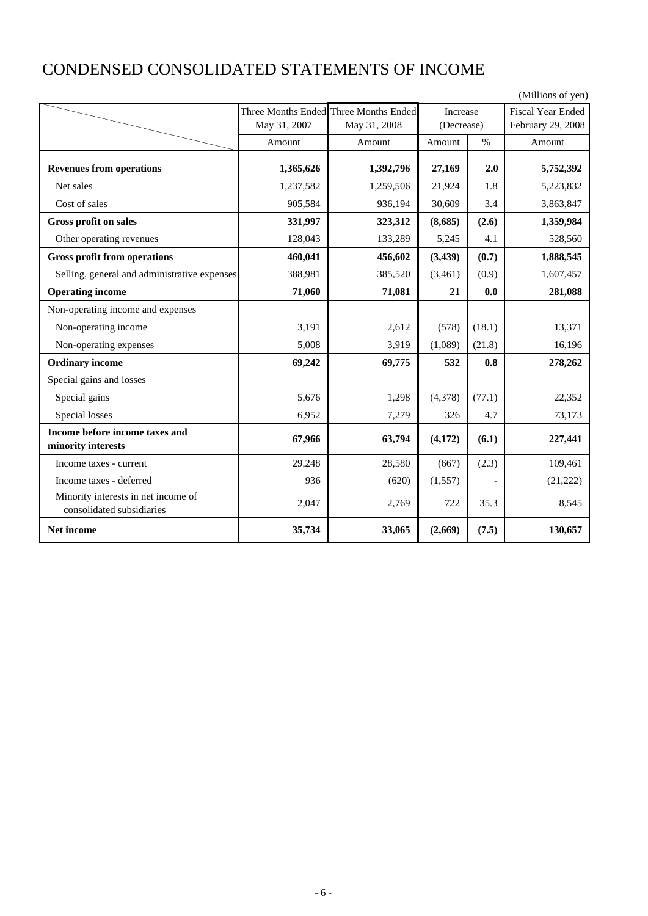## CONDENSED CONSOLIDATED STATEMENTS OF INCOME

|                                                                  |              |                                       |            |        | (Millions of yen)        |
|------------------------------------------------------------------|--------------|---------------------------------------|------------|--------|--------------------------|
|                                                                  |              | Three Months Ended Three Months Ended | Increase   |        | <b>Fiscal Year Ended</b> |
|                                                                  | May 31, 2007 | May 31, 2008                          | (Decrease) |        | February 29, 2008        |
|                                                                  | Amount       | Amount                                | Amount     | $\%$   | Amount                   |
| <b>Revenues from operations</b>                                  | 1,365,626    | 1,392,796                             | 27,169     | 2.0    | 5,752,392                |
| Net sales                                                        | 1,237,582    | 1,259,506                             | 21,924     | 1.8    | 5,223,832                |
| Cost of sales                                                    | 905,584      | 936,194                               | 30,609     | 3.4    | 3,863,847                |
| <b>Gross profit on sales</b>                                     | 331,997      | 323,312                               | (8,685)    | (2.6)  | 1,359,984                |
| Other operating revenues                                         | 128,043      | 133,289                               | 5,245      | 4.1    | 528,560                  |
| <b>Gross profit from operations</b>                              | 460,041      | 456,602                               | (3, 439)   | (0.7)  | 1,888,545                |
| Selling, general and administrative expenses                     | 388,981      | 385,520                               | (3,461)    | (0.9)  | 1,607,457                |
| <b>Operating income</b>                                          | 71,060       | 71,081                                | 21         | 0.0    | 281,088                  |
| Non-operating income and expenses                                |              |                                       |            |        |                          |
| Non-operating income                                             | 3,191        | 2,612                                 | (578)      | (18.1) | 13,371                   |
| Non-operating expenses                                           | 5,008        | 3,919                                 | (1,089)    | (21.8) | 16,196                   |
| <b>Ordinary income</b>                                           | 69,242       | 69,775                                | 532        | 0.8    | 278,262                  |
| Special gains and losses                                         |              |                                       |            |        |                          |
| Special gains                                                    | 5,676        | 1,298                                 | (4,378)    | (77.1) | 22,352                   |
| Special losses                                                   | 6,952        | 7,279                                 | 326        | 4.7    | 73,173                   |
| Income before income taxes and<br>minority interests             | 67,966       | 63,794                                | (4,172)    | (6.1)  | 227,441                  |
| Income taxes - current                                           | 29,248       | 28,580                                | (667)      | (2.3)  | 109,461                  |
| Income taxes - deferred                                          | 936          | (620)                                 | (1,557)    |        | (21, 222)                |
| Minority interests in net income of<br>consolidated subsidiaries | 2,047        | 2,769                                 | 722        | 35.3   | 8,545                    |
| Net income                                                       | 35,734       | 33,065                                | (2,669)    | (7.5)  | 130,657                  |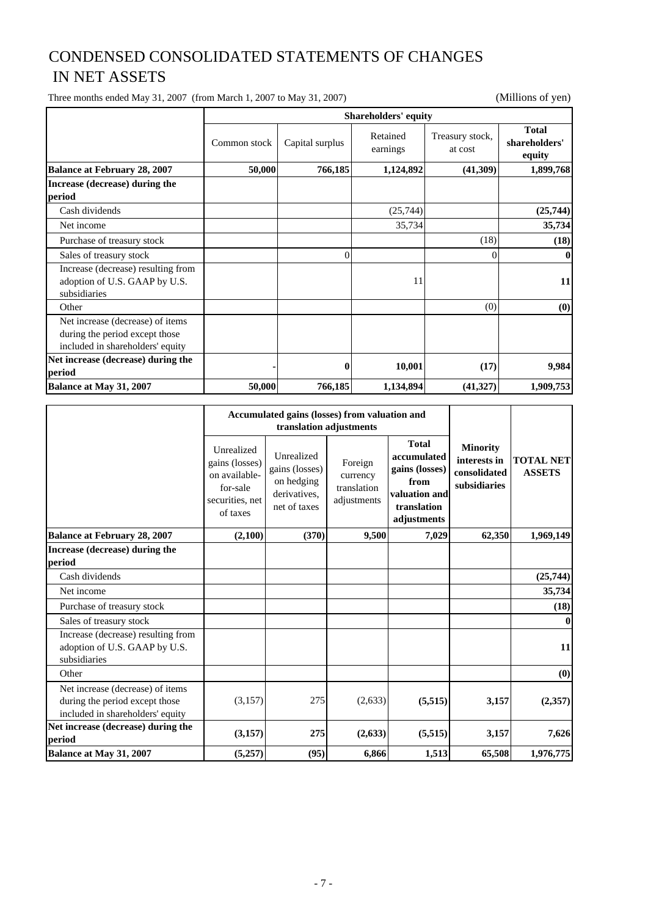### CONDENSED CONSOLIDATED STATEMENTS OF CHANGES IN NET ASSETS

Three months ended May 31, 2007 (from March 1, 2007 to May 31, 2007) (Millions of yen)

|                                                                                                        | Shareholders' equity |                 |                      |                            |                                         |  |  |
|--------------------------------------------------------------------------------------------------------|----------------------|-----------------|----------------------|----------------------------|-----------------------------------------|--|--|
|                                                                                                        | Common stock         | Capital surplus | Retained<br>earnings | Treasury stock,<br>at cost | <b>Total</b><br>shareholders'<br>equity |  |  |
| <b>Balance at February 28, 2007</b>                                                                    | 50,000               | 766,185         | 1,124,892            | (41,309)                   | 1,899,768                               |  |  |
| Increase (decrease) during the<br>period                                                               |                      |                 |                      |                            |                                         |  |  |
| Cash dividends                                                                                         |                      |                 | (25,744)             |                            | (25,744)                                |  |  |
| Net income                                                                                             |                      |                 | 35,734               |                            | 35,734                                  |  |  |
| Purchase of treasury stock                                                                             |                      |                 |                      | (18)                       | (18)                                    |  |  |
| Sales of treasury stock                                                                                |                      | $\Omega$        |                      | $\Omega$                   | $\mathbf{0}$                            |  |  |
| Increase (decrease) resulting from<br>adoption of U.S. GAAP by U.S.<br>subsidiaries                    |                      |                 | 11                   |                            | 11                                      |  |  |
| Other                                                                                                  |                      |                 |                      | (0)                        | (0)                                     |  |  |
| Net increase (decrease) of items<br>during the period except those<br>included in shareholders' equity |                      |                 |                      |                            |                                         |  |  |
| Net increase (decrease) during the<br>period                                                           |                      | 0               | 10,001               | (17)                       | 9,984                                   |  |  |
| Balance at May 31, 2007                                                                                | 50,000               | 766,185         | 1,134,894            | (41, 327)                  | 1,909,753                               |  |  |

|                                                                                                        |                                                                                          | Accumulated gains (losses) from valuation and                              | translation adjustments                           |                                                                                                      |                                                                 |                                   |
|--------------------------------------------------------------------------------------------------------|------------------------------------------------------------------------------------------|----------------------------------------------------------------------------|---------------------------------------------------|------------------------------------------------------------------------------------------------------|-----------------------------------------------------------------|-----------------------------------|
|                                                                                                        | Unrealized<br>gains (losses)<br>on available-<br>for-sale<br>securities, net<br>of taxes | Unrealized<br>gains (losses)<br>on hedging<br>derivatives,<br>net of taxes | Foreign<br>currency<br>translation<br>adjustments | <b>Total</b><br>accumulated<br>gains (losses)<br>from<br>valuation and<br>translation<br>adjustments | <b>Minority</b><br>interests in<br>consolidated<br>subsidiaries | <b>TOTAL NET</b><br><b>ASSETS</b> |
| <b>Balance at February 28, 2007</b>                                                                    | (2,100)                                                                                  | (370)                                                                      | 9,500                                             | 7,029                                                                                                | 62,350                                                          | 1,969,149                         |
| Increase (decrease) during the<br>period                                                               |                                                                                          |                                                                            |                                                   |                                                                                                      |                                                                 |                                   |
| Cash dividends                                                                                         |                                                                                          |                                                                            |                                                   |                                                                                                      |                                                                 | (25, 744)                         |
| Net income                                                                                             |                                                                                          |                                                                            |                                                   |                                                                                                      |                                                                 | 35,734                            |
| Purchase of treasury stock                                                                             |                                                                                          |                                                                            |                                                   |                                                                                                      |                                                                 | (18)                              |
| Sales of treasury stock                                                                                |                                                                                          |                                                                            |                                                   |                                                                                                      |                                                                 | 0                                 |
| Increase (decrease) resulting from<br>adoption of U.S. GAAP by U.S.<br>subsidiaries                    |                                                                                          |                                                                            |                                                   |                                                                                                      |                                                                 | 11                                |
| Other                                                                                                  |                                                                                          |                                                                            |                                                   |                                                                                                      |                                                                 | (0)                               |
| Net increase (decrease) of items<br>during the period except those<br>included in shareholders' equity | (3,157)                                                                                  | 275                                                                        | (2,633)                                           | (5,515)                                                                                              | 3,157                                                           | (2,357)                           |
| Net increase (decrease) during the<br>period                                                           | (3,157)                                                                                  | 275                                                                        | (2,633)                                           | (5,515)                                                                                              | 3,157                                                           | 7,626                             |
| Balance at May 31, 2007                                                                                | (5,257)                                                                                  | (95)                                                                       | 6,866                                             | 1,513                                                                                                | 65,508                                                          | 1,976,775                         |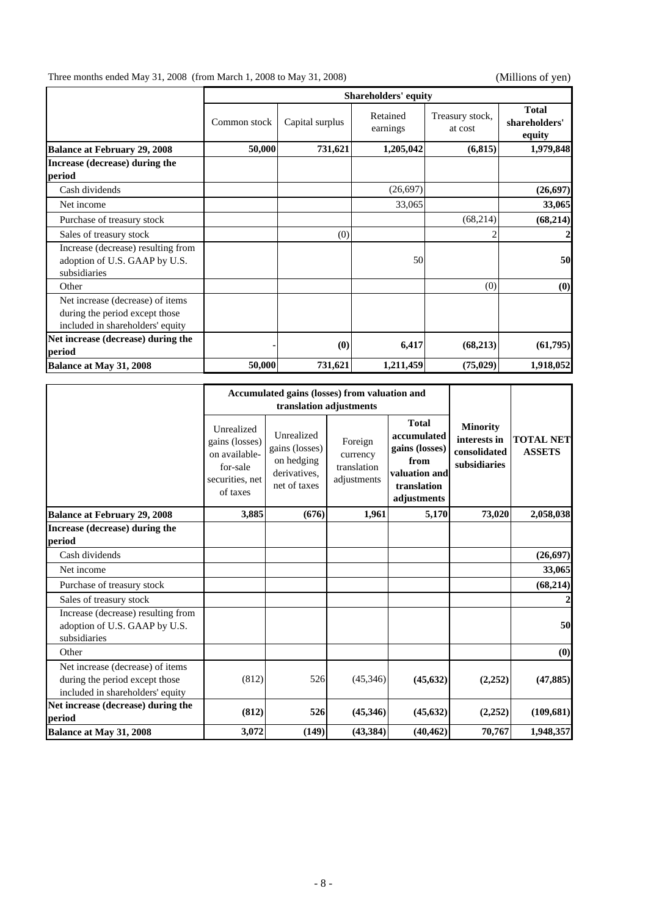Three months ended May 31, 2008 (from March 1, 2008 to May 31, 2008) (Millions of yen)

|                                                                                                        |              | <b>Shareholders' equity</b> |                      |                            |                                         |  |  |  |  |
|--------------------------------------------------------------------------------------------------------|--------------|-----------------------------|----------------------|----------------------------|-----------------------------------------|--|--|--|--|
|                                                                                                        | Common stock | Capital surplus             | Retained<br>earnings | Treasury stock,<br>at cost | <b>Total</b><br>shareholders'<br>equity |  |  |  |  |
| <b>Balance at February 29, 2008</b>                                                                    | 50,000       | 731,621                     | 1,205,042            | (6, 815)                   | 1,979,848                               |  |  |  |  |
| Increase (decrease) during the<br>period                                                               |              |                             |                      |                            |                                         |  |  |  |  |
| Cash dividends                                                                                         |              |                             | (26,697)             |                            | (26,697)                                |  |  |  |  |
| Net income                                                                                             |              |                             | 33,065               |                            | 33,065                                  |  |  |  |  |
| Purchase of treasury stock                                                                             |              |                             |                      | (68, 214)                  | (68, 214)                               |  |  |  |  |
| Sales of treasury stock                                                                                |              | (0)                         |                      |                            | $\overline{2}$                          |  |  |  |  |
| Increase (decrease) resulting from<br>adoption of U.S. GAAP by U.S.<br>subsidiaries                    |              |                             | 50                   |                            | 50                                      |  |  |  |  |
| Other                                                                                                  |              |                             |                      | (0)                        | (0)                                     |  |  |  |  |
| Net increase (decrease) of items<br>during the period except those<br>included in shareholders' equity |              |                             |                      |                            |                                         |  |  |  |  |
| Net increase (decrease) during the<br>period                                                           |              | (0)                         | 6,417                | (68,213)                   | (61,795)                                |  |  |  |  |
| Balance at May 31, 2008                                                                                | 50,000       | 731,621                     | 1,211,459            | (75, 029)                  | 1,918,052                               |  |  |  |  |

|                                                                                                        |                                                                                          | Accumulated gains (losses) from valuation and<br>translation adjustments   |                                                   |                                                                                                      |                                                                 |                                   |
|--------------------------------------------------------------------------------------------------------|------------------------------------------------------------------------------------------|----------------------------------------------------------------------------|---------------------------------------------------|------------------------------------------------------------------------------------------------------|-----------------------------------------------------------------|-----------------------------------|
|                                                                                                        | Unrealized<br>gains (losses)<br>on available-<br>for-sale<br>securities, net<br>of taxes | Unrealized<br>gains (losses)<br>on hedging<br>derivatives,<br>net of taxes | Foreign<br>currency<br>translation<br>adjustments | <b>Total</b><br>accumulated<br>gains (losses)<br>from<br>valuation and<br>translation<br>adjustments | <b>Minority</b><br>interests in<br>consolidated<br>subsidiaries | <b>TOTAL NET</b><br><b>ASSETS</b> |
| <b>Balance at February 29, 2008</b>                                                                    | 3,885                                                                                    | (676)                                                                      | 1,961                                             | 5,170                                                                                                | 73,020                                                          | 2,058,038                         |
| Increase (decrease) during the<br>period                                                               |                                                                                          |                                                                            |                                                   |                                                                                                      |                                                                 |                                   |
| Cash dividends                                                                                         |                                                                                          |                                                                            |                                                   |                                                                                                      |                                                                 | (26, 697)                         |
| Net income                                                                                             |                                                                                          |                                                                            |                                                   |                                                                                                      |                                                                 | 33,065                            |
| Purchase of treasury stock                                                                             |                                                                                          |                                                                            |                                                   |                                                                                                      |                                                                 | (68,214)                          |
| Sales of treasury stock                                                                                |                                                                                          |                                                                            |                                                   |                                                                                                      |                                                                 | $\overline{2}$                    |
| Increase (decrease) resulting from<br>adoption of U.S. GAAP by U.S.<br>subsidiaries                    |                                                                                          |                                                                            |                                                   |                                                                                                      |                                                                 | 50                                |
| Other                                                                                                  |                                                                                          |                                                                            |                                                   |                                                                                                      |                                                                 | (0)                               |
| Net increase (decrease) of items<br>during the period except those<br>included in shareholders' equity | (812)                                                                                    | 526                                                                        | (45,346)                                          | (45, 632)                                                                                            | (2,252)                                                         | (47, 885)                         |
| Net increase (decrease) during the<br>period                                                           | (812)                                                                                    | 526                                                                        | (45,346)                                          | (45, 632)                                                                                            | (2,252)                                                         | (109,681)                         |
| Balance at May 31, 2008                                                                                | 3,072                                                                                    | (149)                                                                      | (43, 384)                                         | (40, 462)                                                                                            | 70,767                                                          | 1,948,357                         |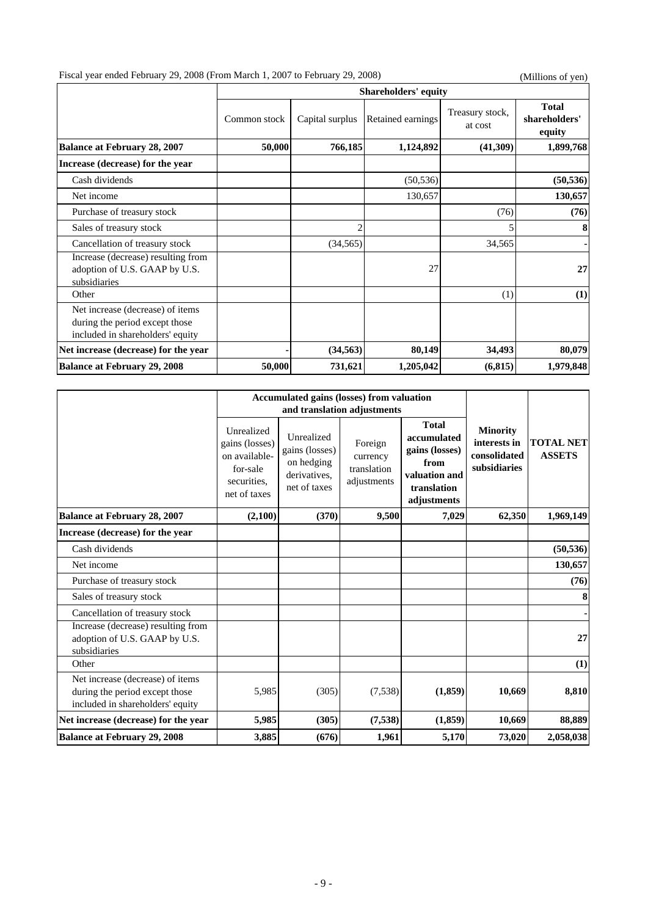| Fiscal year ended February 29, 2008 (From March 1, 2007 to February 29, 2008) |
|-------------------------------------------------------------------------------|
|                                                                               |

(Millions of yen)

|                                                                                                        |              |                 | <b>Shareholders' equity</b> |                            |                                         |
|--------------------------------------------------------------------------------------------------------|--------------|-----------------|-----------------------------|----------------------------|-----------------------------------------|
|                                                                                                        | Common stock | Capital surplus | Retained earnings           | Treasury stock,<br>at cost | <b>Total</b><br>shareholders'<br>equity |
| <b>Balance at February 28, 2007</b>                                                                    | 50,000       | 766,185         | 1,124,892                   | (41,309)                   | 1,899,768                               |
| Increase (decrease) for the year                                                                       |              |                 |                             |                            |                                         |
| Cash dividends                                                                                         |              |                 | (50, 536)                   |                            | (50, 536)                               |
| Net income                                                                                             |              |                 | 130,657                     |                            | 130,657                                 |
| Purchase of treasury stock                                                                             |              |                 |                             | (76)                       | (76)                                    |
| Sales of treasury stock                                                                                |              | $\overline{c}$  |                             | 5                          | 8                                       |
| Cancellation of treasury stock                                                                         |              | (34, 565)       |                             | 34,565                     |                                         |
| Increase (decrease) resulting from<br>adoption of U.S. GAAP by U.S.<br>subsidiaries                    |              |                 | 27                          |                            | 27                                      |
| Other                                                                                                  |              |                 |                             | (1)                        | (1)                                     |
| Net increase (decrease) of items<br>during the period except those<br>included in shareholders' equity |              |                 |                             |                            |                                         |
| Net increase (decrease) for the year                                                                   |              | (34, 563)       | 80,149                      | 34,493                     | 80,079                                  |
| <b>Balance at February 29, 2008</b>                                                                    | 50,000       | 731,621         | 1,205,042                   | (6,815)                    | 1,979,848                               |

|                                                                                                        |                                                                                          | Accumulated gains (losses) from valuation                                  |                                                   |                                                                                                      |                                                                 |                                   |
|--------------------------------------------------------------------------------------------------------|------------------------------------------------------------------------------------------|----------------------------------------------------------------------------|---------------------------------------------------|------------------------------------------------------------------------------------------------------|-----------------------------------------------------------------|-----------------------------------|
|                                                                                                        |                                                                                          |                                                                            | and translation adjustments                       |                                                                                                      |                                                                 |                                   |
|                                                                                                        | Unrealized<br>gains (losses)<br>on available-<br>for-sale<br>securities.<br>net of taxes | Unrealized<br>gains (losses)<br>on hedging<br>derivatives.<br>net of taxes | Foreign<br>currency<br>translation<br>adjustments | <b>Total</b><br>accumulated<br>gains (losses)<br>from<br>valuation and<br>translation<br>adjustments | <b>Minority</b><br>interests in<br>consolidated<br>subsidiaries | <b>TOTAL NET</b><br><b>ASSETS</b> |
| <b>Balance at February 28, 2007</b>                                                                    | (2,100)                                                                                  | (370)                                                                      | 9,500                                             | 7,029                                                                                                | 62,350                                                          | 1,969,149                         |
| Increase (decrease) for the year                                                                       |                                                                                          |                                                                            |                                                   |                                                                                                      |                                                                 |                                   |
| Cash dividends                                                                                         |                                                                                          |                                                                            |                                                   |                                                                                                      |                                                                 | (50, 536)                         |
| Net income                                                                                             |                                                                                          |                                                                            |                                                   |                                                                                                      |                                                                 | 130,657                           |
| Purchase of treasury stock                                                                             |                                                                                          |                                                                            |                                                   |                                                                                                      |                                                                 | (76)                              |
| Sales of treasury stock                                                                                |                                                                                          |                                                                            |                                                   |                                                                                                      |                                                                 | 8                                 |
| Cancellation of treasury stock                                                                         |                                                                                          |                                                                            |                                                   |                                                                                                      |                                                                 |                                   |
| Increase (decrease) resulting from<br>adoption of U.S. GAAP by U.S.<br>subsidiaries                    |                                                                                          |                                                                            |                                                   |                                                                                                      |                                                                 | 27                                |
| Other                                                                                                  |                                                                                          |                                                                            |                                                   |                                                                                                      |                                                                 | (1)                               |
| Net increase (decrease) of items<br>during the period except those<br>included in shareholders' equity | 5,985                                                                                    | (305)                                                                      | (7,538)                                           | (1,859)                                                                                              | 10,669                                                          | 8,810                             |
| Net increase (decrease) for the year                                                                   | 5,985                                                                                    | (305)                                                                      | (7,538)                                           | (1,859)                                                                                              | 10,669                                                          | 88,889                            |
| <b>Balance at February 29, 2008</b>                                                                    | 3,885                                                                                    | (676)                                                                      | 1,961                                             | 5,170                                                                                                | 73,020                                                          | 2,058,038                         |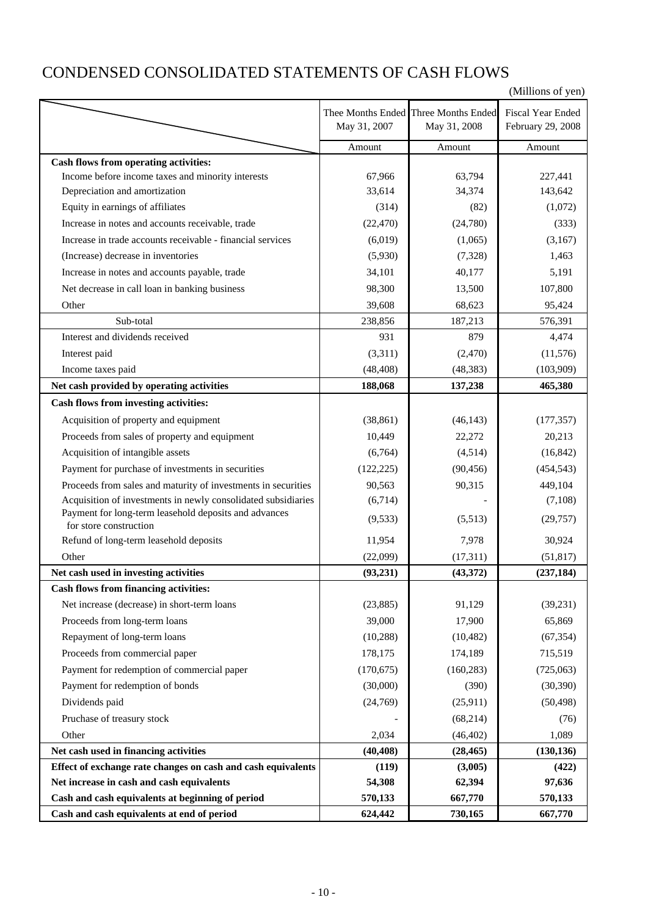## CONDENSED CONSOLIDATED STATEMENTS OF CASH FLOWS

|                                                               |                       |                                      | (Millions of yen)        |
|---------------------------------------------------------------|-----------------------|--------------------------------------|--------------------------|
|                                                               |                       | Thee Months Ended Three Months Ended | <b>Fiscal Year Ended</b> |
|                                                               | May 31, 2007          | May 31, 2008                         | February 29, 2008        |
|                                                               | Amount                | Amount                               | Amount                   |
| Cash flows from operating activities:                         |                       |                                      |                          |
| Income before income taxes and minority interests             | 67,966                | 63,794                               | 227,441                  |
| Depreciation and amortization                                 | 33,614                | 34,374                               | 143,642                  |
| Equity in earnings of affiliates                              | (314)                 | (82)                                 | (1,072)                  |
| Increase in notes and accounts receivable, trade              | (22, 470)             | (24,780)                             | (333)                    |
| Increase in trade accounts receivable - financial services    | (6,019)               | (1,065)                              | (3,167)                  |
| (Increase) decrease in inventories                            | (5,930)               | (7,328)                              | 1,463                    |
| Increase in notes and accounts payable, trade                 | 34,101                | 40,177                               | 5,191                    |
| Net decrease in call loan in banking business                 | 98,300                | 13,500                               | 107,800                  |
| Other                                                         | 39,608                | 68,623                               | 95,424                   |
| Sub-total                                                     | 238,856               | 187,213                              | 576,391                  |
| Interest and dividends received                               | 931                   | 879                                  | 4,474                    |
| Interest paid                                                 | (3,311)               | (2,470)                              | (11, 576)                |
| Income taxes paid                                             | (48, 408)             | (48, 383)                            | (103,909)                |
| Net cash provided by operating activities                     | 188,068               | 137,238                              | 465,380                  |
| Cash flows from investing activities:                         |                       |                                      |                          |
| Acquisition of property and equipment                         | (38, 861)             | (46, 143)                            | (177, 357)               |
| Proceeds from sales of property and equipment                 | 10,449                | 22,272                               | 20,213                   |
| Acquisition of intangible assets                              | (6,764)               | (4,514)                              | (16, 842)                |
| Payment for purchase of investments in securities             | (122, 225)            | (90, 456)                            | (454, 543)               |
| Proceeds from sales and maturity of investments in securities | 90,563                | 90,315                               | 449,104                  |
| Acquisition of investments in newly consolidated subsidiaries | (6,714)               |                                      | (7,108)                  |
| Payment for long-term leasehold deposits and advances         | (9,533)               | (5,513)                              | (29, 757)                |
| for store construction                                        |                       | 7,978                                | 30,924                   |
| Refund of long-term leasehold deposits<br>Other               | 11,954                |                                      |                          |
| Net cash used in investing activities                         | (22,099)<br>(93, 231) | (17, 311)<br>(43, 372)               | (51, 817)<br>(237, 184)  |
| <b>Cash flows from financing activities:</b>                  |                       |                                      |                          |
| Net increase (decrease) in short-term loans                   | (23,885)              | 91,129                               | (39, 231)                |
| Proceeds from long-term loans                                 | 39,000                | 17,900                               | 65,869                   |
| Repayment of long-term loans                                  | (10, 288)             | (10, 482)                            | (67, 354)                |
| Proceeds from commercial paper                                | 178,175               | 174,189                              | 715,519                  |
| Payment for redemption of commercial paper                    | (170, 675)            | (160, 283)                           | (725,063)                |
| Payment for redemption of bonds                               | (30,000)              | (390)                                | (30, 390)                |
| Dividends paid                                                | (24,769)              | (25,911)                             | (50, 498)                |
| Pruchase of treasury stock                                    |                       | (68, 214)                            | (76)                     |
| Other                                                         | 2,034                 | (46, 402)                            | 1,089                    |
| Net cash used in financing activities                         | (40, 408)             | (28, 465)                            | (130, 136)               |
| Effect of exchange rate changes on cash and cash equivalents  | (119)                 | (3,005)                              | (422)                    |
| Net increase in cash and cash equivalents                     | 54,308                | 62,394                               | 97,636                   |
| Cash and cash equivalents at beginning of period              | 570,133               | 667,770                              | 570,133                  |
| Cash and cash equivalents at end of period                    | 624,442               | 730,165                              | 667,770                  |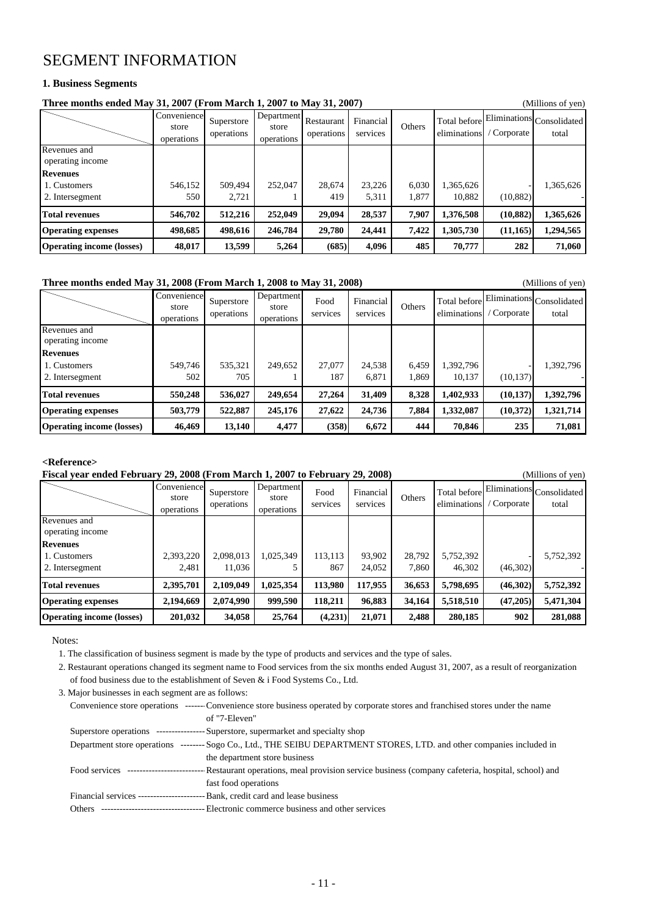### SEGMENT INFORMATION

#### **1. Business Segments**

### **Three months ended May 31, 2007 (From March 1, 2007 to May 31, 2007)** (Millions of yen)

|                                                    | Convenience<br>store<br>operations | Superstore<br>operations | Department<br>store<br>operations | Restaurant<br>operations | Financial<br>services | Others         | eliminations        | / Corporate | Total before Eliminations Consolidated<br>total |
|----------------------------------------------------|------------------------------------|--------------------------|-----------------------------------|--------------------------|-----------------------|----------------|---------------------|-------------|-------------------------------------------------|
| Revenues and<br>operating income                   |                                    |                          |                                   |                          |                       |                |                     |             |                                                 |
| <b>Revenues</b><br>1. Customers<br>2. Intersegment | 546,152<br>550                     | 509,494<br>2,721         | 252,047                           | 28,674<br>419            | 23,226<br>5,311       | 6,030<br>1,877 | 1,365,626<br>10,882 | (10, 882)   | 1,365,626                                       |
| <b>Total revenues</b>                              | 546.702                            | 512,216                  | 252,049                           | 29,094                   | 28,537                | 7.907          | 1,376,508           | (10,882)    | 1,365,626                                       |
| <b>Operating expenses</b>                          | 498,685                            | 498,616                  | 246,784                           | 29,780                   | 24,441                | 7,422          | 1,305,730           | (11, 165)   | 1,294,565                                       |
| <b>Operating income (losses)</b>                   | 48,017                             | 13,599                   | 5,264                             | (685)                    | 4.096                 | 485            | 70,777              | 282         | 71,060                                          |

#### **Three months ended May 31, 2008 (From March 1, 2008 to May 31, 2008)** (Millions of yen)

|                                  | Convenience<br>store<br>operations | Superstore<br>operations | Department<br>store<br>operations | Food<br>services | Financial<br>services | Others | eliminations | 'Corporate | Total before Eliminations Consolidated<br>total |
|----------------------------------|------------------------------------|--------------------------|-----------------------------------|------------------|-----------------------|--------|--------------|------------|-------------------------------------------------|
| Revenues and<br>operating income |                                    |                          |                                   |                  |                       |        |              |            |                                                 |
| <b>Revenues</b>                  |                                    |                          |                                   |                  |                       |        |              |            |                                                 |
| 1. Customers                     | 549,746                            | 535,321                  | 249,652                           | 27,077           | 24,538                | 6,459  | 1,392,796    |            | 1,392,796                                       |
| 2. Intersegment                  | 502                                | 705                      |                                   | 187              | 6,871                 | 1,869  | 10,137       | (10, 137)  |                                                 |
| <b>Total revenues</b>            | 550,248                            | 536,027                  | 249,654                           | 27,264           | 31,409                | 8,328  | 1,402,933    | (10, 137)  | 1,392,796                                       |
| <b>Operating expenses</b>        | 503,779                            | 522,887                  | 245,176                           | 27,622           | 24,736                | 7.884  | 1,332,087    | (10,372)   | 1,321,714                                       |
| <b>Operating income (losses)</b> | 46,469                             | 13,140                   | 4,477                             | (358)            | 6,672                 | 444    | 70,846       | 235        | 71,081                                          |

#### **<Reference>**

#### **Fiscal year ended February 29, 2008 (From March 1, 2007 to February 29, 2008)** (Millions of yen)

|                                  |                                    |                          |                                   |                  |                       |        |              |             | (1.111110110011)                                |
|----------------------------------|------------------------------------|--------------------------|-----------------------------------|------------------|-----------------------|--------|--------------|-------------|-------------------------------------------------|
|                                  | Convenience<br>store<br>operations | Superstore<br>operations | Department<br>store<br>operations | Food<br>services | Financial<br>services | Others | eliminations | / Corporate | Total before Eliminations Consolidated<br>total |
| Revenues and<br>operating income |                                    |                          |                                   |                  |                       |        |              |             |                                                 |
| <b>Revenues</b>                  |                                    |                          |                                   |                  |                       |        |              |             |                                                 |
| 1. Customers                     | 2,393,220                          | 2,098,013                | 1,025,349                         | 113,113          | 93,902                | 28,792 | 5,752,392    |             | 5,752,392                                       |
| 2. Intersegment                  | 2.481                              | 11.036                   |                                   | 867              | 24,052                | 7.860  | 46,302       | (46,302)    |                                                 |
| <b>Total revenues</b>            | 2,395,701                          | 2,109,049                | 1,025,354                         | 113,980          | 117,955               | 36,653 | 5,798,695    | (46,302)    | 5,752,392                                       |
| <b>Operating expenses</b>        | 2,194,669                          | 2,074,990                | 999,590                           | 118,211          | 96,883                | 34,164 | 5,518,510    | (47,205)    | 5,471,304                                       |
| <b>Operating income (losses)</b> | 201,032                            | 34,058                   | 25,764                            | (4,231)          | 21,071                | 2.488  | 280,185      | 902         | 281,088                                         |

Notes:

1. The classification of business segment is made by the type of products and services and the type of sales.

 2. Restaurant operations changed its segment name to Food services from the six months ended August 31, 2007, as a result of reorganization of food business due to the establishment of Seven & i Food Systems Co., Ltd.

| 3. Major businesses in each segment are as follows:                                   |                                                                                                                                   |
|---------------------------------------------------------------------------------------|-----------------------------------------------------------------------------------------------------------------------------------|
|                                                                                       | Convenience store operations ------- Convenience store business operated by corporate stores and franchised stores under the name |
|                                                                                       | of "7-Eleven"                                                                                                                     |
| Superstore operations ----------------- Superstore, supermarket and specialty shop    |                                                                                                                                   |
|                                                                                       | Department store operations -------- Sogo Co., Ltd., THE SEIBU DEPARTMENT STORES, LTD. and other companies included in            |
|                                                                                       | the department store business                                                                                                     |
|                                                                                       |                                                                                                                                   |
|                                                                                       | fast food operations                                                                                                              |
| Financial services ----------------------------- Bank, credit card and lease business |                                                                                                                                   |
| <b>Others</b>                                                                         | -- Electronic commerce business and other services                                                                                |
|                                                                                       |                                                                                                                                   |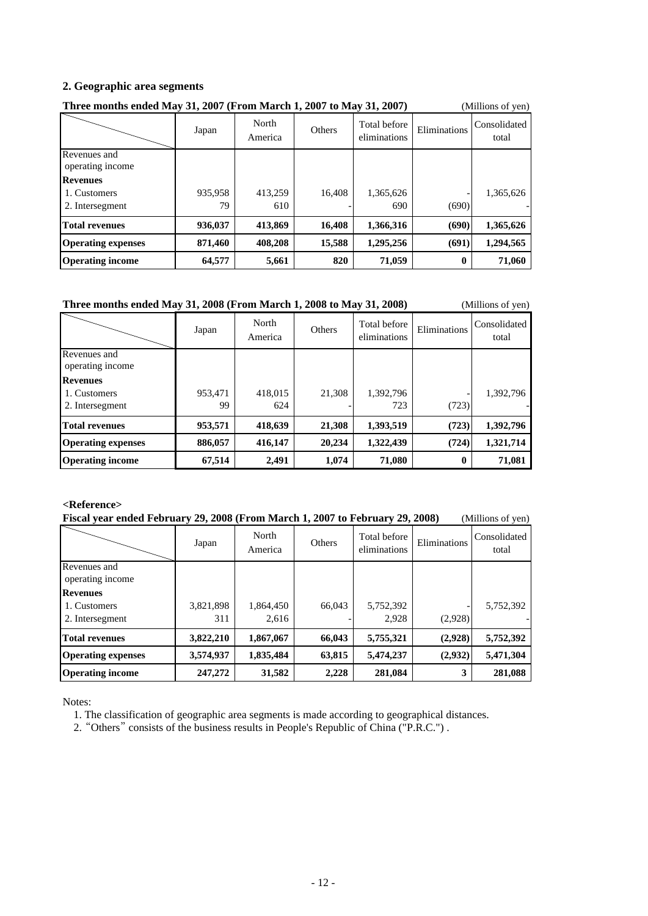#### **2. Geographic area segments**

| Three months ended May 31, 2007 (From March 1, 2007 to May 31, 2007) |               |                  |        |                              |              | (Millions of yen)     |
|----------------------------------------------------------------------|---------------|------------------|--------|------------------------------|--------------|-----------------------|
|                                                                      | Japan         | North<br>America | Others | Total before<br>eliminations | Eliminations | Consolidated<br>total |
| Revenues and<br>operating income                                     |               |                  |        |                              |              |                       |
| <b>Revenues</b><br>1. Customers<br>2. Intersegment                   | 935,958<br>79 | 413,259<br>610   | 16.408 | 1,365,626<br>690             | (690)        | 1,365,626             |
| <b>Total revenues</b>                                                | 936,037       | 413,869          | 16,408 | 1,366,316                    | (690)        | 1,365,626             |
| <b>Operating expenses</b>                                            | 871,460       | 408,208          | 15,588 | 1,295,256                    | (691)        | 1,294,565             |
| <b>Operating income</b>                                              | 64,577        | 5,661            | 820    | 71,059                       | $\mathbf{0}$ | 71,060                |

#### **Three months ended May 31, 2008 (From March 1, 2008 to May 31, 2008)** (Millions of yen)

|                                                    | Japan         | North<br>America | Others | Total before<br>eliminations | Eliminations | Consolidated<br>total |
|----------------------------------------------------|---------------|------------------|--------|------------------------------|--------------|-----------------------|
| Revenues and<br>operating income                   |               |                  |        |                              |              |                       |
| <b>Revenues</b><br>1. Customers<br>2. Intersegment | 953,471<br>99 | 418,015<br>624   | 21,308 | 1,392,796<br>723             | (723)        | 1,392,796             |
| <b>Total revenues</b>                              | 953,571       | 418,639          | 21,308 | 1,393,519                    | (723)        | 1,392,796             |
| <b>Operating expenses</b>                          | 886,057       | 416,147          | 20,234 | 1,322,439                    | (724)        | 1,321,714             |
| <b>Operating income</b>                            | 67,514        | 2,491            | 1,074  | 71,080                       | $\bf{0}$     | 71,081                |

#### **<Reference>**

#### **Fiscal year ended February 29, 2008 (From March 1, 2007 to February 29, 2008)** (Millions of yen)

|                                                    | Japan            | North<br>America   | Others | Total before<br>eliminations | Eliminations | Consolidated<br>total |
|----------------------------------------------------|------------------|--------------------|--------|------------------------------|--------------|-----------------------|
| Revenues and<br>operating income                   |                  |                    |        |                              |              |                       |
| <b>Revenues</b><br>1. Customers<br>2. Intersegment | 3,821,898<br>311 | 1,864,450<br>2,616 | 66,043 | 5,752,392<br>2,928           | (2,928)      | 5,752,392             |
| <b>Total revenues</b>                              | 3,822,210        | 1,867,067          | 66,043 | 5,755,321                    | (2,928)      | 5,752,392             |
| <b>Operating expenses</b>                          | 3,574,937        | 1,835,484          | 63,815 | 5,474,237                    | (2,932)      | 5,471,304             |
| <b>Operating income</b>                            | 247,272          | 31,582             | 2,228  | 281,084                      | 3            | 281,088               |

Notes:

1. The classification of geographic area segments is made according to geographical distances.

2. "Others" consists of the business results in People's Republic of China ("P.R.C.") .